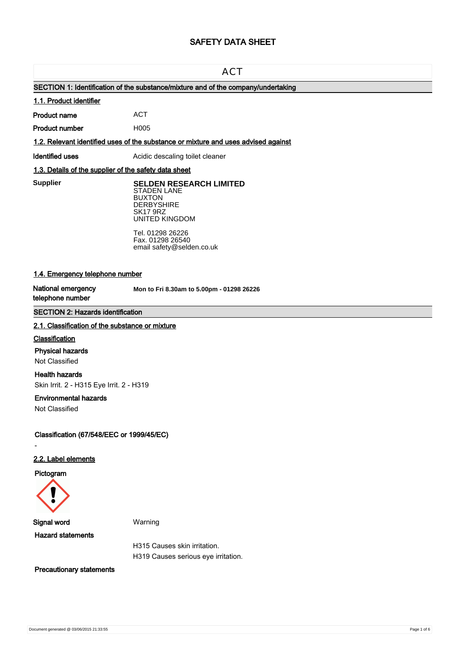# **SAFETY DATA SHEET**

# **ACT**

# **SECTION 1: Identification of the substance/mixture and of the company/undertaking**

# **1.1. Product identifier**

**Product name**

**Product number**

**1.2. Relevant identified uses of the substance or mixture and uses advised against**

ACT H005

**Identified uses** Acidic descaling toilet cleaner

# **1.3. Details of the supplier of the safety data sheet**

**Supplier** 

**SELDEN RESEARCH LIMITED** STADEN LANE BUXTON **DERBYSHIRE** 

SK17 9RZ UNITED KINGDOM

Tel. 01298 26226 Fax. 01298 26540 email safety@selden.co.uk

# **1.4. Emergency telephone number**

**National emergency telephone number**

**Mon to Fri 8.30am to 5.00pm - 01298 26226**

# **SECTION 2: Hazards identification**

### **2.1. Classification of the substance or mixture**

### **Classification**

### **Physical hazards**

Not Classified

# **Health hazards**

Skin Irrit. 2 - H315 Eye Irrit. 2 - H319

### **Environmental hazards**

Not Classified

**Classification (67/548/EEC or 1999/45/EC)**

# **2.2. Label elements**

**Pictogram**

-



**Signal word** Warning

**Hazard statements**

H315 Causes skin irritation. H319 Causes serious eye irritation.

**Precautionary statements**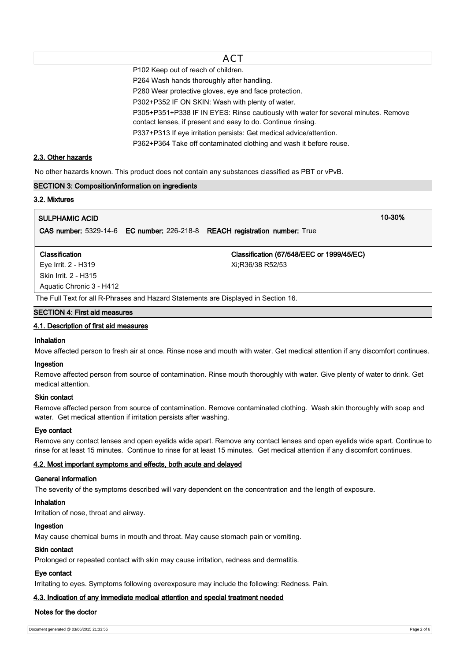P102 Keep out of reach of children.

P264 Wash hands thoroughly after handling.

P280 Wear protective gloves, eye and face protection.

P302+P352 IF ON SKIN: Wash with plenty of water.

P305+P351+P338 IF IN EYES: Rinse cautiously with water for several minutes. Remove

contact lenses, if present and easy to do. Continue rinsing.

P337+P313 If eye irritation persists: Get medical advice/attention.

P362+P364 Take off contaminated clothing and wash it before reuse.

# **2.3. Other hazards**

No other hazards known. This product does not contain any substances classified as PBT or vPvB.

### **SECTION 3: Composition/information on ingredients**

# **3.2. Mixtures**

# **SULPHAMIC ACID 10-30%**

**CAS number:** 5329-14-6 **EC number:** 226-218-8 **REACH registration number:** True

### **Classification Classification (67/548/EEC or 1999/45/EC)**

Eye Irrit. 2 - H319 Xi;R36/38 R52/53 Skin Irrit. 2 - H315 Aquatic Chronic 3 - H412

The Full Text for all R-Phrases and Hazard Statements are Displayed in Section 16.

# **SECTION 4: First aid measures**

# **4.1. Description of first aid measures**

# **Inhalation**

Move affected person to fresh air at once. Rinse nose and mouth with water. Get medical attention if any discomfort continues.

### **Ingestion**

Remove affected person from source of contamination. Rinse mouth thoroughly with water. Give plenty of water to drink. Get medical attention.

## **Skin contact**

Remove affected person from source of contamination. Remove contaminated clothing. Wash skin thoroughly with soap and water. Get medical attention if irritation persists after washing.

# **Eye contact**

Remove any contact lenses and open eyelids wide apart. Remove any contact lenses and open eyelids wide apart. Continue to rinse for at least 15 minutes. Continue to rinse for at least 15 minutes. Get medical attention if any discomfort continues.

# **4.2. Most important symptoms and effects, both acute and delayed**

### **General information**

The severity of the symptoms described will vary dependent on the concentration and the length of exposure.

# **Inhalation**

Irritation of nose, throat and airway.

# **Ingestion**

May cause chemical burns in mouth and throat. May cause stomach pain or vomiting.

### **Skin contact**

Prolonged or repeated contact with skin may cause irritation, redness and dermatitis.

# **Eye contact**

Irritating to eyes. Symptoms following overexposure may include the following: Redness. Pain.

# **4.3. Indication of any immediate medical attention and special treatment needed**

# **Notes for the doctor**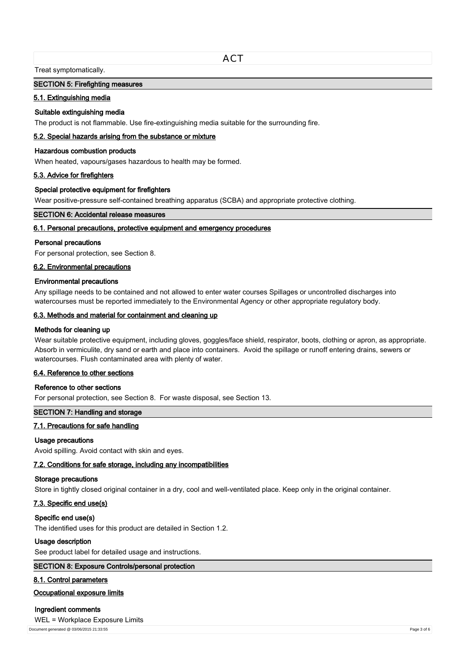**ACT** 

Treat symptomatically.

### **SECTION 5: Firefighting measures**

## **5.1. Extinguishing media**

### **Suitable extinguishing media**

The product is not flammable. Use fire-extinguishing media suitable for the surrounding fire.

### **5.2. Special hazards arising from the substance or mixture**

### **Hazardous combustion products**

When heated, vapours/gases hazardous to health may be formed.

# **5.3. Advice for firefighters**

### **Special protective equipment for firefighters**

Wear positive-pressure self-contained breathing apparatus (SCBA) and appropriate protective clothing.

## **SECTION 6: Accidental release measures**

### **6.1. Personal precautions, protective equipment and emergency procedures**

#### **Personal precautions**

For personal protection, see Section 8.

### **6.2. Environmental precautions**

### **Environmental precautions**

Any spillage needs to be contained and not allowed to enter water courses Spillages or uncontrolled discharges into watercourses must be reported immediately to the Environmental Agency or other appropriate regulatory body.

# **6.3. Methods and material for containment and cleaning up**

## **Methods for cleaning up**

Wear suitable protective equipment, including gloves, goggles/face shield, respirator, boots, clothing or apron, as appropriate. Absorb in vermiculite, dry sand or earth and place into containers. Avoid the spillage or runoff entering drains, sewers or watercourses. Flush contaminated area with plenty of water.

# **6.4. Reference to other sections**

#### **Reference to other sections**

For personal protection, see Section 8. For waste disposal, see Section 13.

### **SECTION 7: Handling and storage**

# **7.1. Precautions for safe handling**

### **Usage precautions**

Avoid spilling. Avoid contact with skin and eyes.

### **7.2. Conditions for safe storage, including any incompatibilities**

### **Storage precautions**

Store in tightly closed original container in a dry, cool and well-ventilated place. Keep only in the original container.

### **7.3. Specific end use(s)**

#### **Specific end use(s)**

The identified uses for this product are detailed in Section 1.2.

#### **Usage description**

See product label for detailed usage and instructions.

### **SECTION 8: Exposure Controls/personal protection**

### **8.1. Control parameters**

### **Occupational exposure limits**

### **Ingredient comments**

WEL = Workplace Exposure Limits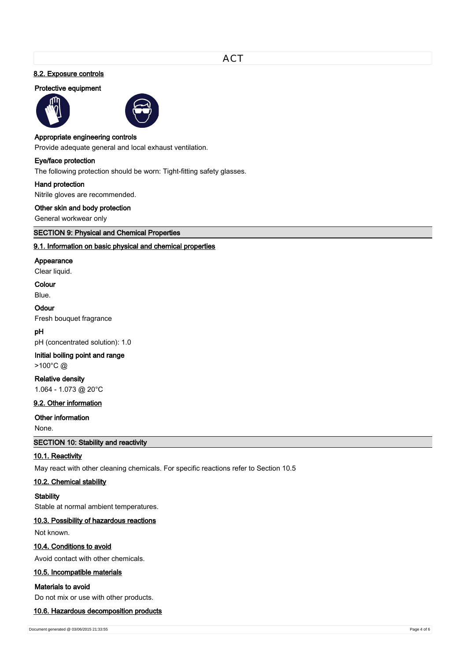# **8.2. Exposure controls**

### **Protective equipment**





### **Appropriate engineering controls**

Provide adequate general and local exhaust ventilation.

### **Eye/face protection**

The following protection should be worn: Tight-fitting safety glasses.

### **Hand protection**

Nitrile gloves are recommended.

## **Other skin and body protection**

General workwear only

**SECTION 9: Physical and Chemical Properties**

# **9.1. Information on basic physical and chemical properties**

### **Appearance**

Clear liquid.

# **Colour**

Blue.

### **Odour**

Fresh bouquet fragrance

# **pH**

pH (concentrated solution): 1.0

### **Initial boiling point and range**

>100°C @

# **Relative density**

1.064 - 1.073 @ 20°C

# **9.2. Other information**

## **Other information**

None.

**SECTION 10: Stability and reactivity**

### **10.1. Reactivity**

May react with other cleaning chemicals. For specific reactions refer to Section 10.5

### **10.2. Chemical stability**

# **Stability**

Stable at normal ambient temperatures.

# **10.3. Possibility of hazardous reactions**

Not known.

# **10.4. Conditions to avoid**

Avoid contact with other chemicals.

# **10.5. Incompatible materials**

### **Materials to avoid**

Do not mix or use with other products.

### **10.6. Hazardous decomposition products**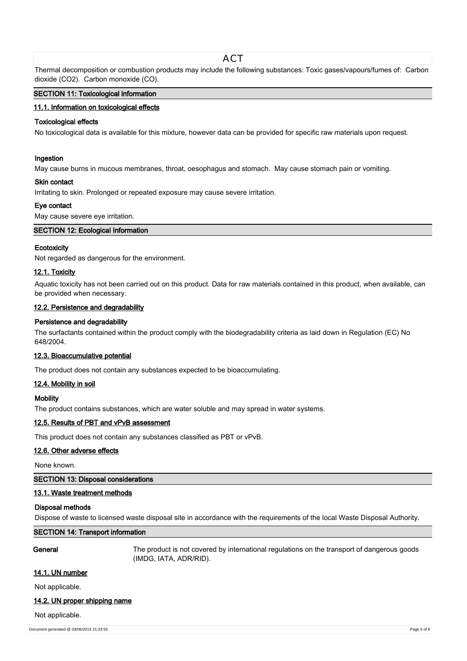# ACT

Thermal decomposition or combustion products may include the following substances: Toxic gases/vapours/fumes of: Carbon dioxide (CO2). Carbon monoxide (CO).

### **SECTION 11: Toxicological information**

### **11.1. Information on toxicological effects**

# **Toxicological effects**

No toxicological data is available for this mixture, however data can be provided for specific raw materials upon request.

#### **Ingestion**

May cause burns in mucous membranes, throat, oesophagus and stomach. May cause stomach pain or vomiting.

#### **Skin contact**

Irritating to skin. Prolonged or repeated exposure may cause severe irritation.

### **Eye contact**

May cause severe eye irritation.

### **SECTION 12: Ecological Information**

# **Ecotoxicity**

Not regarded as dangerous for the environment.

# **12.1. Toxicity**

Aquatic toxicity has not been carried out on this product. Data for raw materials contained in this product, when available, can be provided when necessary.

## **12.2. Persistence and degradability**

### **Persistence and degradability**

The surfactants contained within the product comply with the biodegradability criteria as laid down in Regulation (EC) No 648/2004.

### **12.3. Bioaccumulative potential**

The product does not contain any substances expected to be bioaccumulating.

### **12.4. Mobility in soil**

### **Mobility**

The product contains substances, which are water soluble and may spread in water systems.

#### **12.5. Results of PBT and vPvB assessment**

This product does not contain any substances classified as PBT or vPvB.

### **12.6. Other adverse effects**

None known.

# **SECTION 13: Disposal considerations**

### **13.1. Waste treatment methods**

### **Disposal methods**

Dispose of waste to licensed waste disposal site in accordance with the requirements of the local Waste Disposal Authority.

# **SECTION 14: Transport information**

**General** The product is not covered by international regulations on the transport of dangerous goods (IMDG, IATA, ADR/RID).

#### **14.1. UN number**

Not applicable.

### **14.2. UN proper shipping name**

Not applicable.